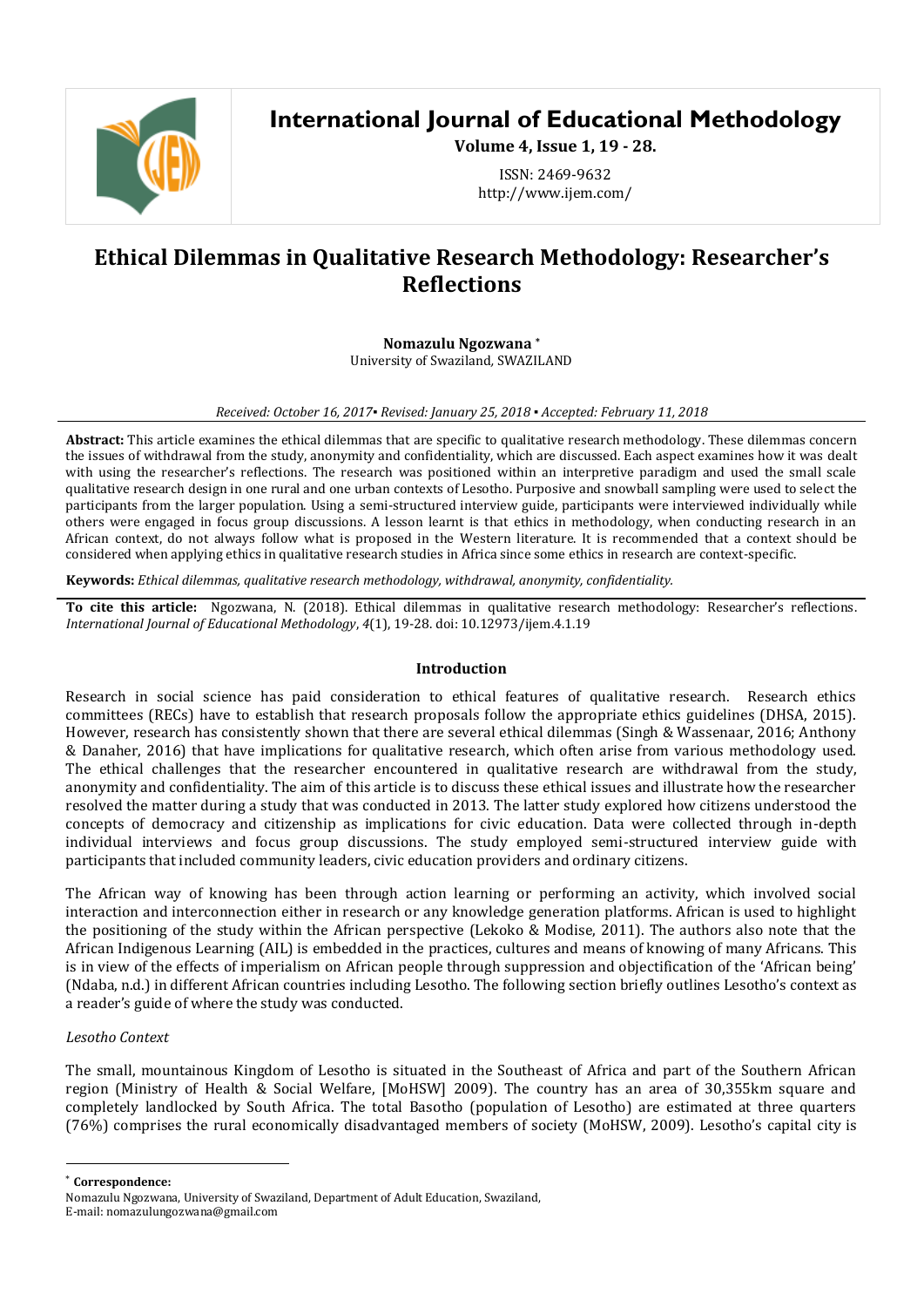

# **International Journal of Educational Methodology**

**Volume 4, Issue 1, 19 - 28.**

ISSN: 2469-9632 http://www.ijem.com/

# **Ethical Dilemmas in Qualitative Research Methodology: Researcher's Reflections**

**Nomazulu Ngozwana \***

University of Swaziland*,* SWAZILAND

## *Received: October 16, 2017▪ Revised: January 25, 2018 ▪ Accepted: February 11, 2018*

**Abstract:** This article examines the ethical dilemmas that are specific to qualitative research methodology. These dilemmas concern the issues of withdrawal from the study, anonymity and confidentiality, which are discussed. Each aspect examines how it was dealt with using the researcher's reflections. The research was positioned within an interpretive paradigm and used the small scale qualitative research design in one rural and one urban contexts of Lesotho. Purposive and snowball sampling were used to select the participants from the larger population. Using a semi-structured interview guide, participants were interviewed individually while others were engaged in focus group discussions. A lesson learnt is that ethics in methodology, when conducting research in an African context, do not always follow what is proposed in the Western literature. It is recommended that a context should be considered when applying ethics in qualitative research studies in Africa since some ethics in research are context-specific.

**Keywords:** *Ethical dilemmas, qualitative research methodology, withdrawal, anonymity, confidentiality.*

**To cite this article:** Ngozwana, N. (2018). Ethical dilemmas in qualitative research methodology: Researcher's reflections. *International Journal of Educational Methodology*, *4*(1), 19-28. doi: 10.12973/ijem.4.1.19

#### **Introduction**

Research in social science has paid consideration to ethical features of qualitative research. Research ethics committees (RECs) have to establish that research proposals follow the appropriate ethics guidelines (DHSA, 2015). However, research has consistently shown that there are several ethical dilemmas (Singh & Wassenaar, 2016; Anthony & Danaher, 2016) that have implications for qualitative research, which often arise from various methodology used. The ethical challenges that the researcher encountered in qualitative research are withdrawal from the study, anonymity and confidentiality. The aim of this article is to discuss these ethical issues and illustrate how the researcher resolved the matter during a study that was conducted in 2013. The latter study explored how citizens understood the concepts of democracy and citizenship as implications for civic education. Data were collected through in-depth individual interviews and focus group discussions. The study employed semi-structured interview guide with participants that included community leaders, civic education providers and ordinary citizens.

The African way of knowing has been through action learning or performing an activity, which involved social interaction and interconnection either in research or any knowledge generation platforms. African is used to highlight the positioning of the study within the African perspective (Lekoko & Modise, 2011). The authors also note that the African Indigenous Learning (AIL) is embedded in the practices, cultures and means of knowing of many Africans. This is in view of the effects of imperialism on African people through suppression and objectification of the 'African being' (Ndaba, n.d.) in different African countries including Lesotho. The following section briefly outlines Lesotho's context as a reader's guide of where the study was conducted.

# *Lesotho Context*

The small, mountainous Kingdom of Lesotho is situated in the Southeast of Africa and part of the Southern African region (Ministry of Health & Social Welfare, [MoHSW] 2009). The country has an area of 30,355km square and completely landlocked by South Africa. The total Basotho (population of Lesotho) are estimated at three quarters (76%) comprises the rural economically disadvantaged members of society (MoHSW, 2009). Lesotho's capital city is

\* **Correspondence:**

 $\overline{a}$ 

Nomazulu Ngozwana, University of Swaziland, Department of Adult Education, Swaziland, E-mail: nomazulungozwana@gmail.com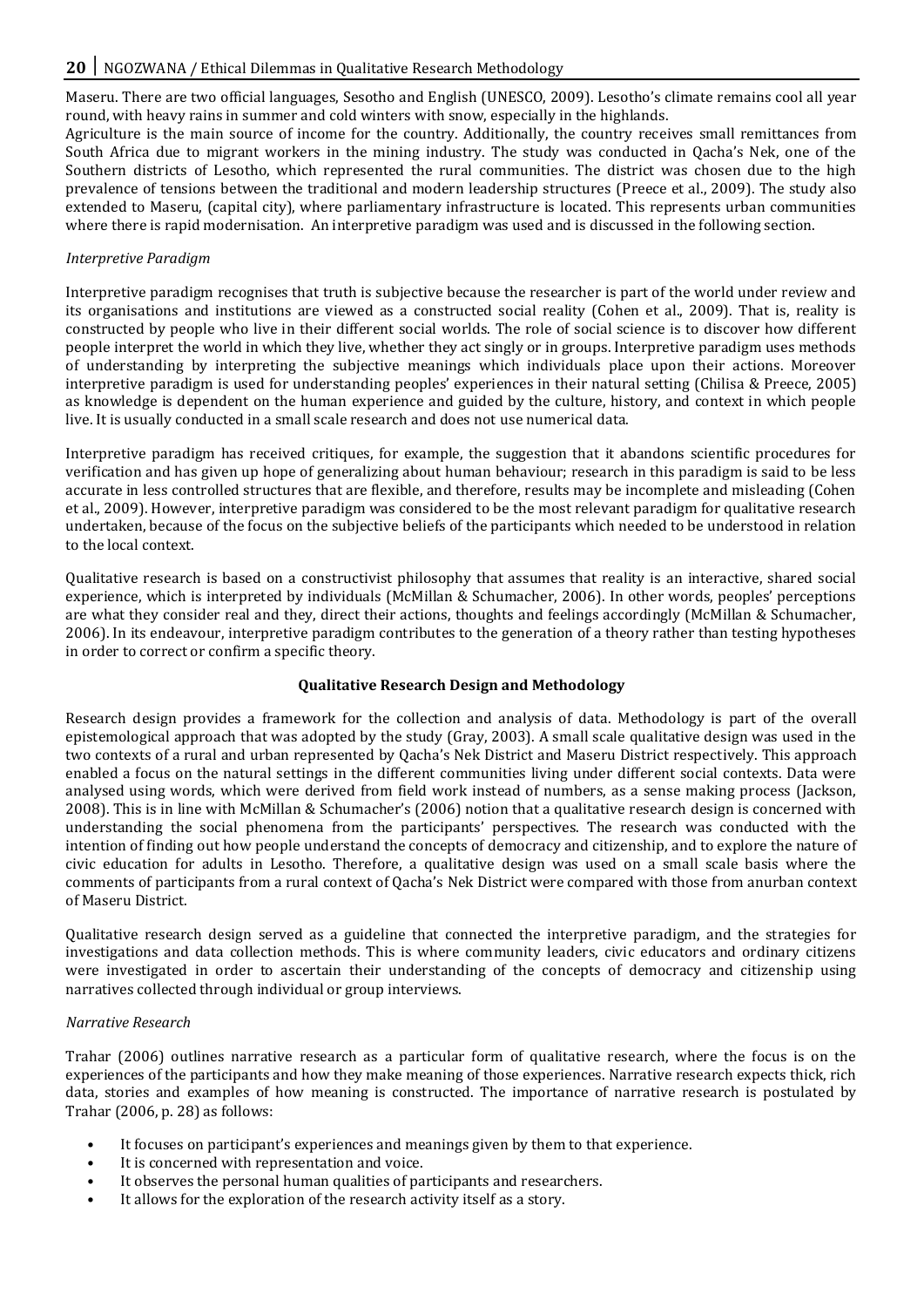Maseru. There are two official languages, Sesotho and English (UNESCO, 2009). Lesotho's climate remains cool all year round, with heavy rains in summer and cold winters with snow, especially in the highlands.

Agriculture is the main source of income for the country. Additionally, the country receives small remittances from South Africa due to migrant workers in the mining industry. The study was conducted in Qacha's Nek, one of the Southern districts of Lesotho, which represented the rural communities. The district was chosen due to the high prevalence of tensions between the traditional and modern leadership structures (Preece et al., 2009). The study also extended to Maseru, (capital city), where parliamentary infrastructure is located. This represents urban communities where there is rapid modernisation. An interpretive paradigm was used and is discussed in the following section.

# *Interpretive Paradigm*

Interpretive paradigm recognises that truth is subjective because the researcher is part of the world under review and its organisations and institutions are viewed as a constructed social reality (Cohen et al., 2009). That is, reality is constructed by people who live in their different social worlds. The role of social science is to discover how different people interpret the world in which they live, whether they act singly or in groups. Interpretive paradigm uses methods of understanding by interpreting the subjective meanings which individuals place upon their actions. Moreover interpretive paradigm is used for understanding peoples' experiences in their natural setting (Chilisa & Preece, 2005) as knowledge is dependent on the human experience and guided by the culture, history, and context in which people live. It is usually conducted in a small scale research and does not use numerical data.

Interpretive paradigm has received critiques, for example, the suggestion that it abandons scientific procedures for verification and has given up hope of generalizing about human behaviour; research in this paradigm is said to be less accurate in less controlled structures that are flexible, and therefore, results may be incomplete and misleading (Cohen et al., 2009). However, interpretive paradigm was considered to be the most relevant paradigm for qualitative research undertaken, because of the focus on the subjective beliefs of the participants which needed to be understood in relation to the local context.

Qualitative research is based on a constructivist philosophy that assumes that reality is an interactive, shared social experience, which is interpreted by individuals (McMillan & Schumacher, 2006). In other words, peoples' perceptions are what they consider real and they, direct their actions, thoughts and feelings accordingly (McMillan & Schumacher, 2006). In its endeavour, interpretive paradigm contributes to the generation of a theory rather than testing hypotheses in order to correct or confirm a specific theory.

# **Qualitative Research Design and Methodology**

Research design provides a framework for the collection and analysis of data. Methodology is part of the overall epistemological approach that was adopted by the study (Gray, 2003). A small scale qualitative design was used in the two contexts of a rural and urban represented by Qacha's Nek District and Maseru District respectively. This approach enabled a focus on the natural settings in the different communities living under different social contexts. Data were analysed using words, which were derived from field work instead of numbers, as a sense making process (Jackson, 2008). This is in line with McMillan & Schumacher's (2006) notion that a qualitative research design is concerned with understanding the social phenomena from the participants' perspectives. The research was conducted with the intention of finding out how people understand the concepts of democracy and citizenship, and to explore the nature of civic education for adults in Lesotho. Therefore, a qualitative design was used on a small scale basis where the comments of participants from a rural context of Qacha's Nek District were compared with those from anurban context of Maseru District.

Qualitative research design served as a guideline that connected the interpretive paradigm, and the strategies for investigations and data collection methods. This is where community leaders, civic educators and ordinary citizens were investigated in order to ascertain their understanding of the concepts of democracy and citizenship using narratives collected through individual or group interviews.

# *Narrative Research*

Trahar (2006) outlines narrative research as a particular form of qualitative research, where the focus is on the experiences of the participants and how they make meaning of those experiences. Narrative research expects thick, rich data, stories and examples of how meaning is constructed. The importance of narrative research is postulated by Trahar (2006, p. 28) as follows:

- It focuses on participant's experiences and meanings given by them to that experience.
- It is concerned with representation and voice.
- It observes the personal human qualities of participants and researchers.
- It allows for the exploration of the research activity itself as a story.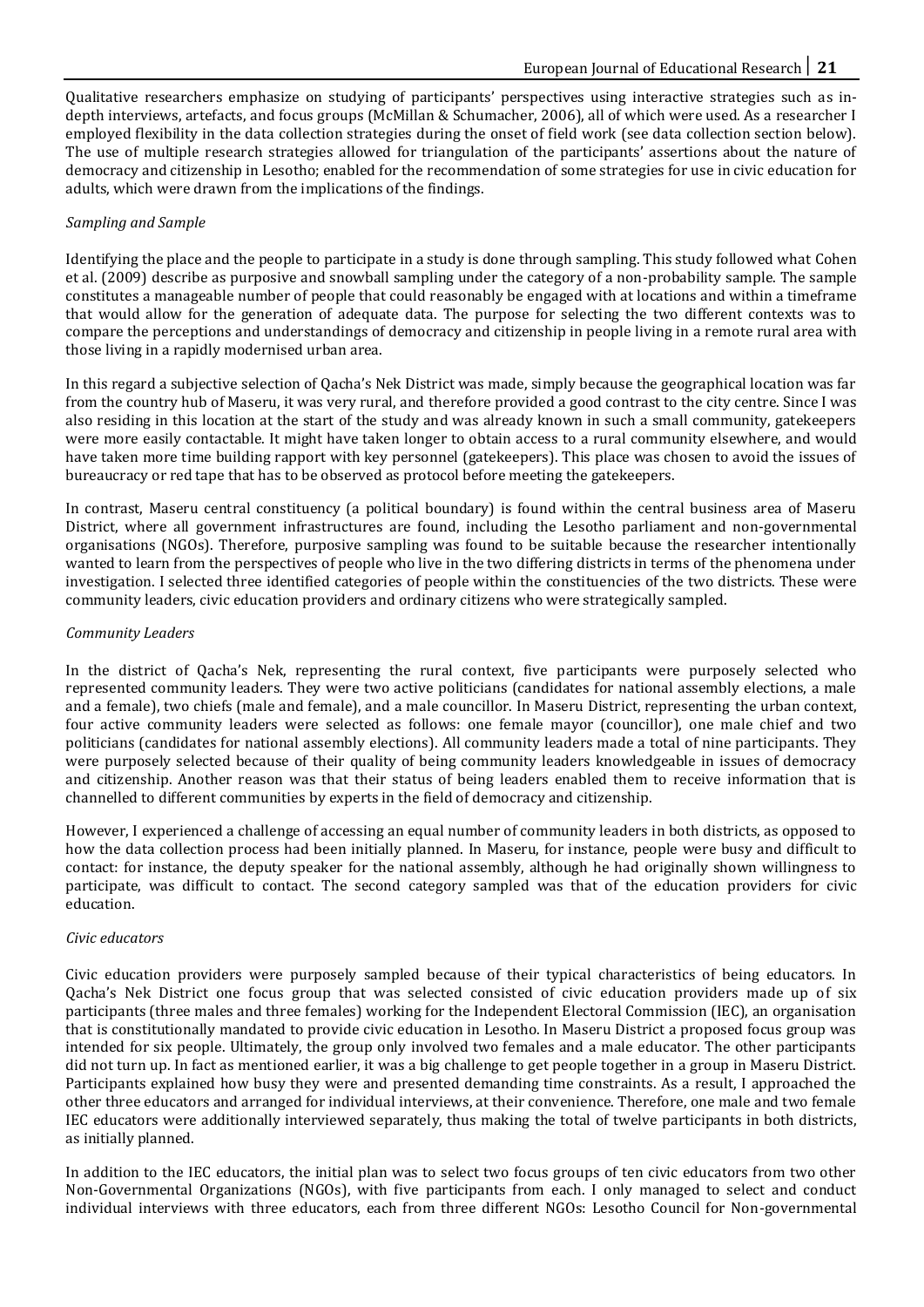Qualitative researchers emphasize on studying of participants' perspectives using interactive strategies such as indepth interviews, artefacts, and focus groups (McMillan & Schumacher, 2006), all of which were used. As a researcher I employed flexibility in the data collection strategies during the onset of field work (see data collection section below). The use of multiple research strategies allowed for triangulation of the participants' assertions about the nature of democracy and citizenship in Lesotho; enabled for the recommendation of some strategies for use in civic education for adults, which were drawn from the implications of the findings.

#### *Sampling and Sample*

Identifying the place and the people to participate in a study is done through sampling. This study followed what Cohen et al. (2009) describe as purposive and snowball sampling under the category of a non-probability sample. The sample constitutes a manageable number of people that could reasonably be engaged with at locations and within a timeframe that would allow for the generation of adequate data. The purpose for selecting the two different contexts was to compare the perceptions and understandings of democracy and citizenship in people living in a remote rural area with those living in a rapidly modernised urban area.

In this regard a subjective selection of Qacha's Nek District was made, simply because the geographical location was far from the country hub of Maseru, it was very rural, and therefore provided a good contrast to the city centre. Since I was also residing in this location at the start of the study and was already known in such a small community, gatekeepers were more easily contactable. It might have taken longer to obtain access to a rural community elsewhere, and would have taken more time building rapport with key personnel (gatekeepers). This place was chosen to avoid the issues of bureaucracy or red tape that has to be observed as protocol before meeting the gatekeepers.

In contrast, Maseru central constituency (a political boundary) is found within the central business area of Maseru District, where all government infrastructures are found, including the Lesotho parliament and non-governmental organisations (NGOs). Therefore, purposive sampling was found to be suitable because the researcher intentionally wanted to learn from the perspectives of people who live in the two differing districts in terms of the phenomena under investigation. I selected three identified categories of people within the constituencies of the two districts. These were community leaders, civic education providers and ordinary citizens who were strategically sampled.

## *Community Leaders*

In the district of Qacha's Nek, representing the rural context, five participants were purposely selected who represented community leaders. They were two active politicians (candidates for national assembly elections, a male and a female), two chiefs (male and female), and a male councillor. In Maseru District, representing the urban context, four active community leaders were selected as follows: one female mayor (councillor), one male chief and two politicians (candidates for national assembly elections). All community leaders made a total of nine participants. They were purposely selected because of their quality of being community leaders knowledgeable in issues of democracy and citizenship. Another reason was that their status of being leaders enabled them to receive information that is channelled to different communities by experts in the field of democracy and citizenship.

However, I experienced a challenge of accessing an equal number of community leaders in both districts, as opposed to how the data collection process had been initially planned. In Maseru, for instance, people were busy and difficult to contact: for instance, the deputy speaker for the national assembly, although he had originally shown willingness to participate, was difficult to contact. The second category sampled was that of the education providers for civic education.

#### *Civic educators*

Civic education providers were purposely sampled because of their typical characteristics of being educators. In Qacha's Nek District one focus group that was selected consisted of civic education providers made up of six participants (three males and three females) working for the Independent Electoral Commission (IEC), an organisation that is constitutionally mandated to provide civic education in Lesotho. In Maseru District a proposed focus group was intended for six people. Ultimately, the group only involved two females and a male educator. The other participants did not turn up. In fact as mentioned earlier, it was a big challenge to get people together in a group in Maseru District. Participants explained how busy they were and presented demanding time constraints. As a result, I approached the other three educators and arranged for individual interviews, at their convenience. Therefore, one male and two female IEC educators were additionally interviewed separately, thus making the total of twelve participants in both districts, as initially planned.

In addition to the IEC educators, the initial plan was to select two focus groups of ten civic educators from two other Non-Governmental Organizations (NGOs), with five participants from each. I only managed to select and conduct individual interviews with three educators, each from three different NGOs: Lesotho Council for Non-governmental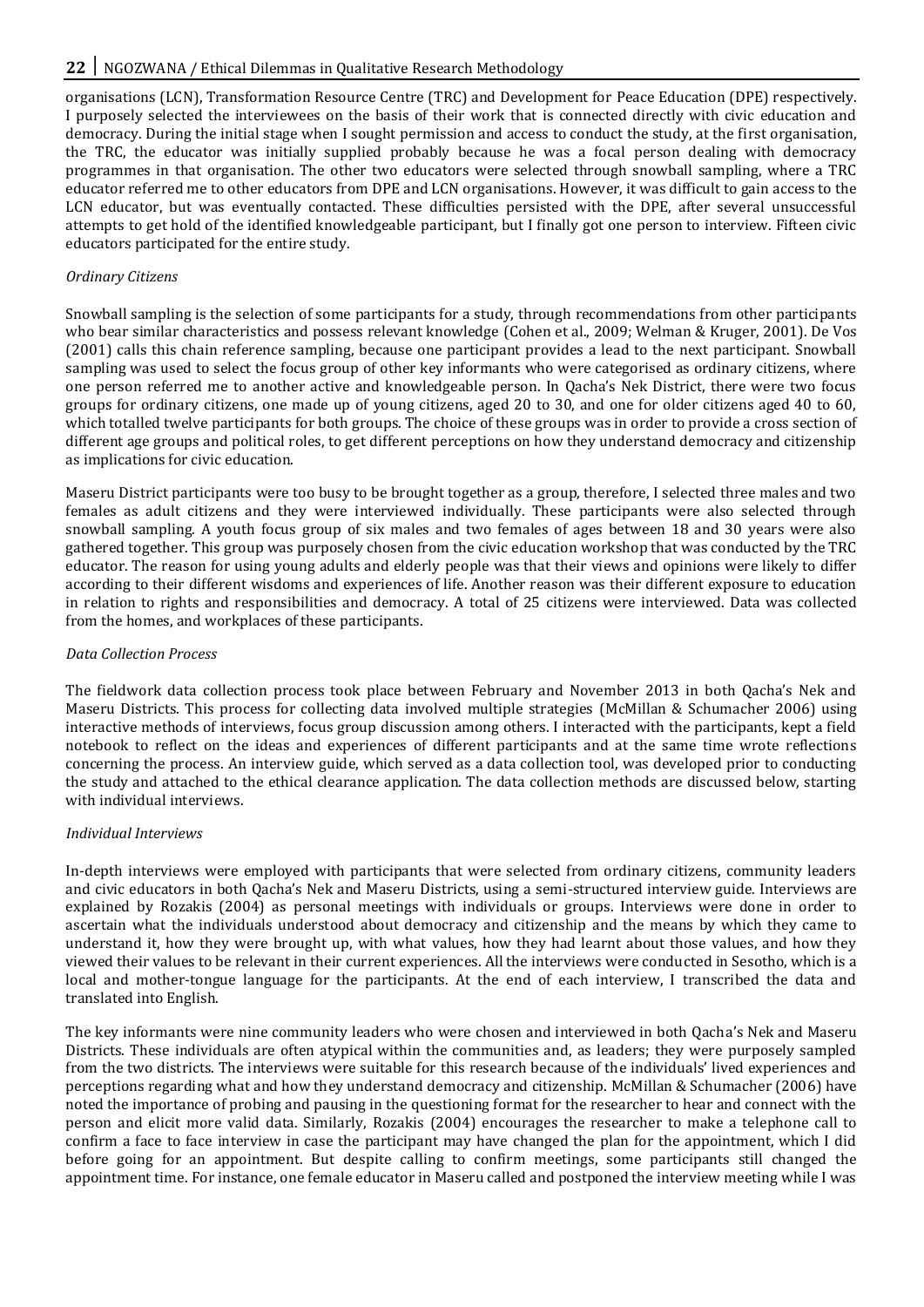organisations (LCN), Transformation Resource Centre (TRC) and Development for Peace Education (DPE) respectively. I purposely selected the interviewees on the basis of their work that is connected directly with civic education and democracy. During the initial stage when I sought permission and access to conduct the study, at the first organisation, the TRC, the educator was initially supplied probably because he was a focal person dealing with democracy programmes in that organisation. The other two educators were selected through snowball sampling, where a TRC educator referred me to other educators from DPE and LCN organisations. However, it was difficult to gain access to the LCN educator, but was eventually contacted. These difficulties persisted with the DPE, after several unsuccessful attempts to get hold of the identified knowledgeable participant, but I finally got one person to interview. Fifteen civic educators participated for the entire study.

## *Ordinary Citizens*

Snowball sampling is the selection of some participants for a study, through recommendations from other participants who bear similar characteristics and possess relevant knowledge (Cohen et al., 2009; Welman & Kruger, 2001). De Vos (2001) calls this chain reference sampling, because one participant provides a lead to the next participant. Snowball sampling was used to select the focus group of other key informants who were categorised as ordinary citizens, where one person referred me to another active and knowledgeable person. In Qacha's Nek District, there were two focus groups for ordinary citizens, one made up of young citizens, aged 20 to 30, and one for older citizens aged 40 to 60, which totalled twelve participants for both groups. The choice of these groups was in order to provide a cross section of different age groups and political roles, to get different perceptions on how they understand democracy and citizenship as implications for civic education.

Maseru District participants were too busy to be brought together as a group, therefore, I selected three males and two females as adult citizens and they were interviewed individually. These participants were also selected through snowball sampling. A youth focus group of six males and two females of ages between 18 and 30 years were also gathered together. This group was purposely chosen from the civic education workshop that was conducted by the TRC educator. The reason for using young adults and elderly people was that their views and opinions were likely to differ according to their different wisdoms and experiences of life. Another reason was their different exposure to education in relation to rights and responsibilities and democracy. A total of 25 citizens were interviewed. Data was collected from the homes, and workplaces of these participants.

#### *Data Collection Process*

The fieldwork data collection process took place between February and November 2013 in both Qacha's Nek and Maseru Districts. This process for collecting data involved multiple strategies (McMillan & Schumacher 2006) using interactive methods of interviews, focus group discussion among others. I interacted with the participants, kept a field notebook to reflect on the ideas and experiences of different participants and at the same time wrote reflections concerning the process. An interview guide, which served as a data collection tool, was developed prior to conducting the study and attached to the ethical clearance application. The data collection methods are discussed below, starting with individual interviews.

#### *Individual Interviews*

In-depth interviews were employed with participants that were selected from ordinary citizens, community leaders and civic educators in both Qacha's Nek and Maseru Districts, using a semi-structured interview guide. Interviews are explained by Rozakis (2004) as personal meetings with individuals or groups. Interviews were done in order to ascertain what the individuals understood about democracy and citizenship and the means by which they came to understand it, how they were brought up, with what values, how they had learnt about those values, and how they viewed their values to be relevant in their current experiences. All the interviews were conducted in Sesotho, which is a local and mother-tongue language for the participants. At the end of each interview, I transcribed the data and translated into English.

The key informants were nine community leaders who were chosen and interviewed in both Qacha's Nek and Maseru Districts. These individuals are often atypical within the communities and, as leaders; they were purposely sampled from the two districts. The interviews were suitable for this research because of the individuals' lived experiences and perceptions regarding what and how they understand democracy and citizenship. McMillan & Schumacher (2006) have noted the importance of probing and pausing in the questioning format for the researcher to hear and connect with the person and elicit more valid data. Similarly, Rozakis (2004) encourages the researcher to make a telephone call to confirm a face to face interview in case the participant may have changed the plan for the appointment, which I did before going for an appointment. But despite calling to confirm meetings, some participants still changed the appointment time. For instance, one female educator in Maseru called and postponed the interview meeting while I was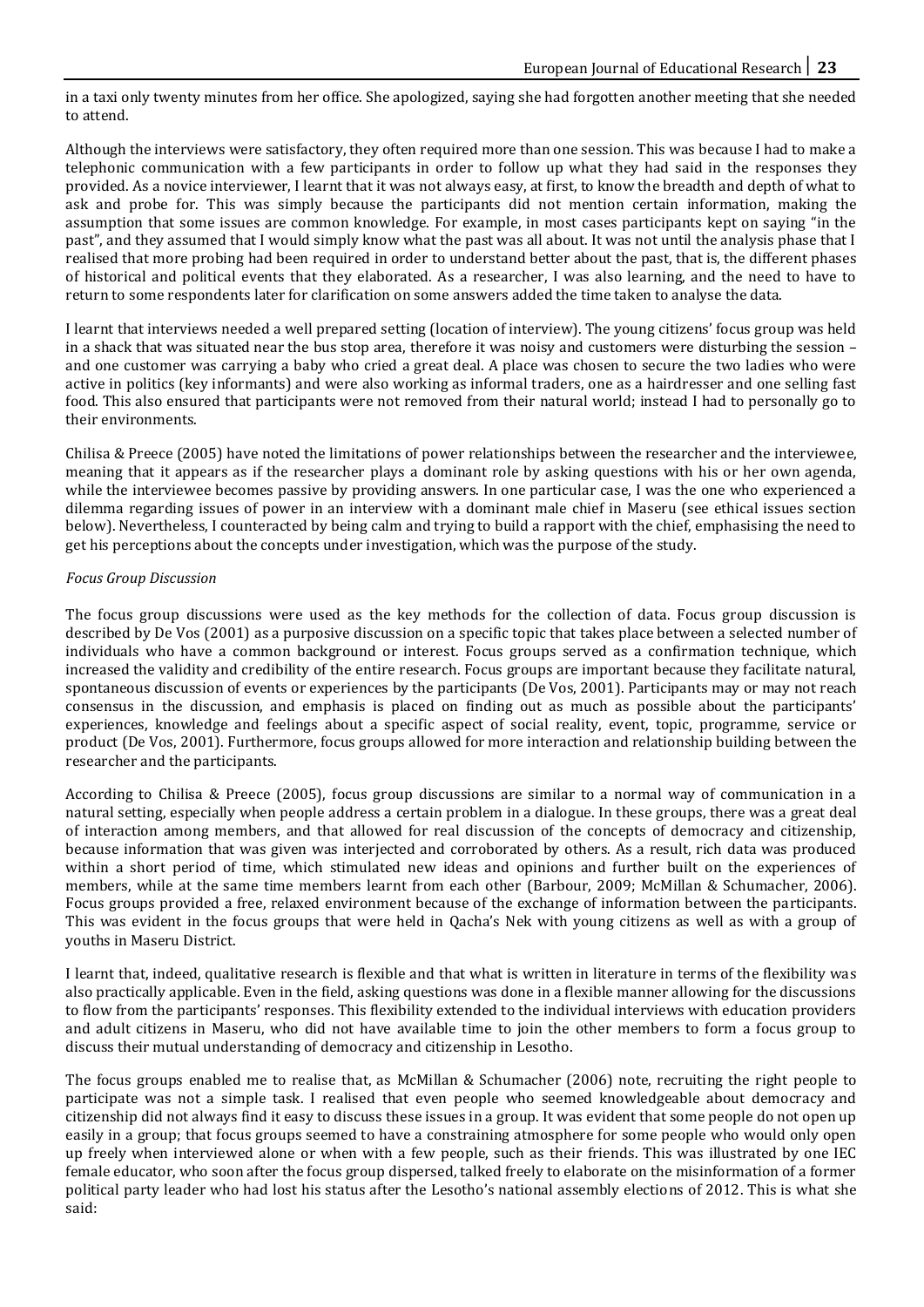in a taxi only twenty minutes from her office. She apologized, saying she had forgotten another meeting that she needed to attend.

Although the interviews were satisfactory, they often required more than one session. This was because I had to make a telephonic communication with a few participants in order to follow up what they had said in the responses they provided. As a novice interviewer, I learnt that it was not always easy, at first, to know the breadth and depth of what to ask and probe for. This was simply because the participants did not mention certain information, making the assumption that some issues are common knowledge. For example, in most cases participants kept on saying "in the past", and they assumed that I would simply know what the past was all about. It was not until the analysis phase that I realised that more probing had been required in order to understand better about the past, that is, the different phases of historical and political events that they elaborated. As a researcher, I was also learning, and the need to have to return to some respondents later for clarification on some answers added the time taken to analyse the data.

I learnt that interviews needed a well prepared setting (location of interview). The young citizens' focus group was held in a shack that was situated near the bus stop area, therefore it was noisy and customers were disturbing the session – and one customer was carrying a baby who cried a great deal. A place was chosen to secure the two ladies who were active in politics (key informants) and were also working as informal traders, one as a hairdresser and one selling fast food. This also ensured that participants were not removed from their natural world; instead I had to personally go to their environments.

Chilisa & Preece (2005) have noted the limitations of power relationships between the researcher and the interviewee, meaning that it appears as if the researcher plays a dominant role by asking questions with his or her own agenda, while the interviewee becomes passive by providing answers. In one particular case, I was the one who experienced a dilemma regarding issues of power in an interview with a dominant male chief in Maseru (see ethical issues section below). Nevertheless, I counteracted by being calm and trying to build a rapport with the chief, emphasising the need to get his perceptions about the concepts under investigation, which was the purpose of the study.

# *Focus Group Discussion*

The focus group discussions were used as the key methods for the collection of data. Focus group discussion is described by De Vos (2001) as a purposive discussion on a specific topic that takes place between a selected number of individuals who have a common background or interest. Focus groups served as a confirmation technique, which increased the validity and credibility of the entire research. Focus groups are important because they facilitate natural, spontaneous discussion of events or experiences by the participants (De Vos, 2001). Participants may or may not reach consensus in the discussion, and emphasis is placed on finding out as much as possible about the participants' experiences, knowledge and feelings about a specific aspect of social reality, event, topic, programme, service or product (De Vos, 2001). Furthermore, focus groups allowed for more interaction and relationship building between the researcher and the participants.

According to Chilisa & Preece (2005), focus group discussions are similar to a normal way of communication in a natural setting, especially when people address a certain problem in a dialogue. In these groups, there was a great deal of interaction among members, and that allowed for real discussion of the concepts of democracy and citizenship, because information that was given was interjected and corroborated by others. As a result, rich data was produced within a short period of time, which stimulated new ideas and opinions and further built on the experiences of members, while at the same time members learnt from each other (Barbour, 2009; McMillan & Schumacher, 2006). Focus groups provided a free, relaxed environment because of the exchange of information between the participants. This was evident in the focus groups that were held in Qacha's Nek with young citizens as well as with a group of youths in Maseru District.

I learnt that, indeed, qualitative research is flexible and that what is written in literature in terms of the flexibility was also practically applicable. Even in the field, asking questions was done in a flexible manner allowing for the discussions to flow from the participants' responses. This flexibility extended to the individual interviews with education providers and adult citizens in Maseru, who did not have available time to join the other members to form a focus group to discuss their mutual understanding of democracy and citizenship in Lesotho.

The focus groups enabled me to realise that, as McMillan & Schumacher (2006) note, recruiting the right people to participate was not a simple task. I realised that even people who seemed knowledgeable about democracy and citizenship did not always find it easy to discuss these issues in a group. It was evident that some people do not open up easily in a group; that focus groups seemed to have a constraining atmosphere for some people who would only open up freely when interviewed alone or when with a few people, such as their friends. This was illustrated by one IEC female educator, who soon after the focus group dispersed, talked freely to elaborate on the misinformation of a former political party leader who had lost his status after the Lesotho's national assembly elections of 2012. This is what she said: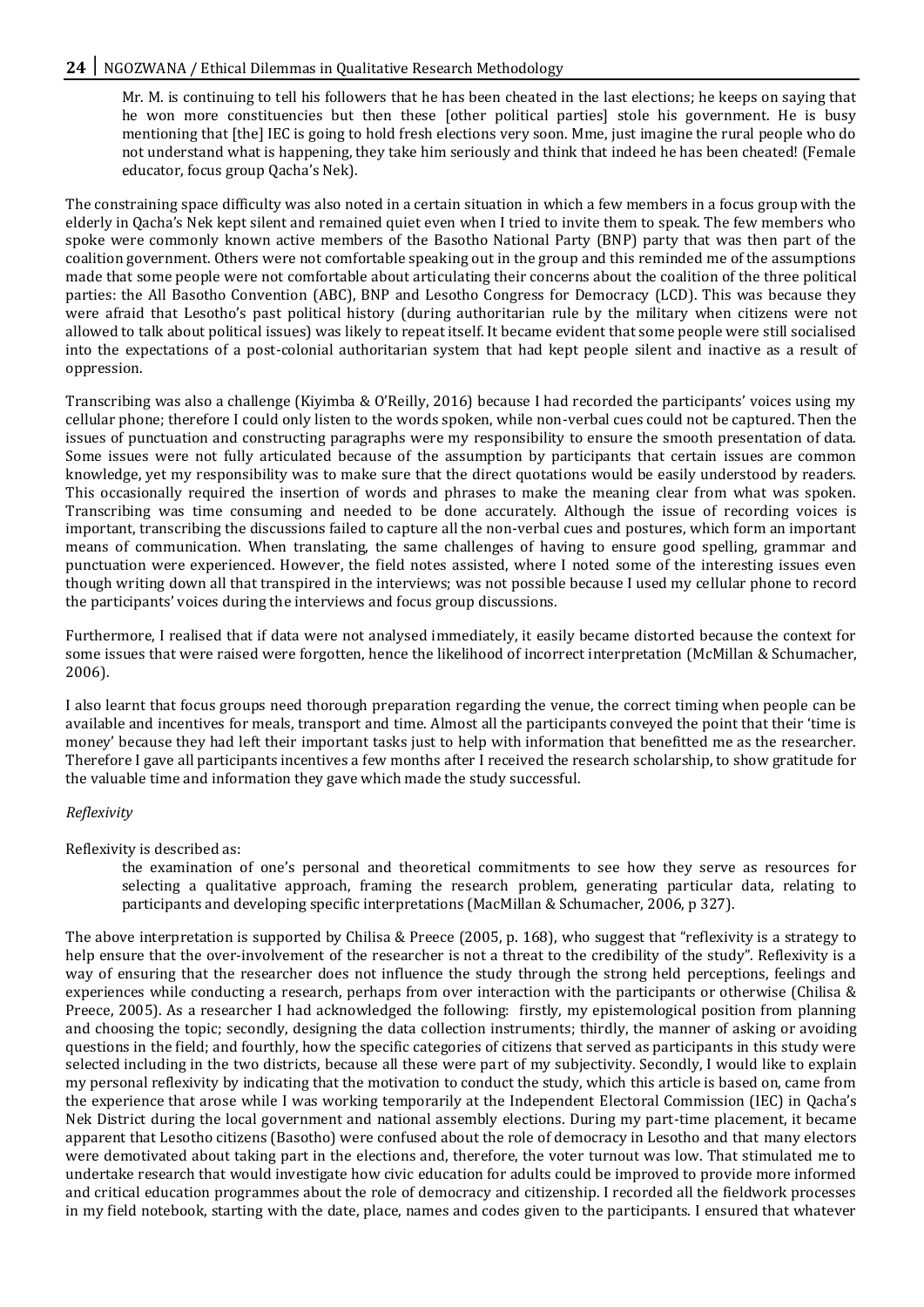## 24 | NGOZWANA / Ethical Dilemmas in Qualitative Research Methodology

Mr. M. is continuing to tell his followers that he has been cheated in the last elections; he keeps on saying that he won more constituencies but then these [other political parties] stole his government. He is busy mentioning that [the] IEC is going to hold fresh elections very soon. Mme, just imagine the rural people who do not understand what is happening, they take him seriously and think that indeed he has been cheated! (Female educator, focus group Qacha's Nek).

The constraining space difficulty was also noted in a certain situation in which a few members in a focus group with the elderly in Qacha's Nek kept silent and remained quiet even when I tried to invite them to speak. The few members who spoke were commonly known active members of the Basotho National Party (BNP) party that was then part of the coalition government. Others were not comfortable speaking out in the group and this reminded me of the assumptions made that some people were not comfortable about articulating their concerns about the coalition of the three political parties: the All Basotho Convention (ABC), BNP and Lesotho Congress for Democracy (LCD). This was because they were afraid that Lesotho's past political history (during authoritarian rule by the military when citizens were not allowed to talk about political issues) was likely to repeat itself. It became evident that some people were still socialised into the expectations of a post-colonial authoritarian system that had kept people silent and inactive as a result of oppression.

Transcribing was also a challenge (Kiyimba & O'Reilly, 2016) because I had recorded the participants' voices using my cellular phone; therefore I could only listen to the words spoken, while non-verbal cues could not be captured. Then the issues of punctuation and constructing paragraphs were my responsibility to ensure the smooth presentation of data. Some issues were not fully articulated because of the assumption by participants that certain issues are common knowledge, yet my responsibility was to make sure that the direct quotations would be easily understood by readers. This occasionally required the insertion of words and phrases to make the meaning clear from what was spoken. Transcribing was time consuming and needed to be done accurately. Although the issue of recording voices is important, transcribing the discussions failed to capture all the non-verbal cues and postures, which form an important means of communication. When translating, the same challenges of having to ensure good spelling, grammar and punctuation were experienced. However, the field notes assisted, where I noted some of the interesting issues even though writing down all that transpired in the interviews; was not possible because I used my cellular phone to record the participants' voices during the interviews and focus group discussions.

Furthermore, I realised that if data were not analysed immediately, it easily became distorted because the context for some issues that were raised were forgotten, hence the likelihood of incorrect interpretation (McMillan & Schumacher, 2006).

I also learnt that focus groups need thorough preparation regarding the venue, the correct timing when people can be available and incentives for meals, transport and time. Almost all the participants conveyed the point that their 'time is money' because they had left their important tasks just to help with information that benefitted me as the researcher. Therefore I gave all participants incentives a few months after I received the research scholarship, to show gratitude for the valuable time and information they gave which made the study successful.

#### *Reflexivity*

Reflexivity is described as:

the examination of one's personal and theoretical commitments to see how they serve as resources for selecting a qualitative approach, framing the research problem, generating particular data, relating to participants and developing specific interpretations (MacMillan & Schumacher, 2006, p 327).

The above interpretation is supported by Chilisa & Preece (2005, p. 168), who suggest that "reflexivity is a strategy to help ensure that the over-involvement of the researcher is not a threat to the credibility of the study". Reflexivity is a way of ensuring that the researcher does not influence the study through the strong held perceptions, feelings and experiences while conducting a research, perhaps from over interaction with the participants or otherwise (Chilisa & Preece, 2005). As a researcher I had acknowledged the following: firstly, my epistemological position from planning and choosing the topic; secondly, designing the data collection instruments; thirdly, the manner of asking or avoiding questions in the field; and fourthly, how the specific categories of citizens that served as participants in this study were selected including in the two districts, because all these were part of my subjectivity. Secondly, I would like to explain my personal reflexivity by indicating that the motivation to conduct the study, which this article is based on, came from the experience that arose while I was working temporarily at the Independent Electoral Commission (IEC) in Qacha's Nek District during the local government and national assembly elections. During my part-time placement, it became apparent that Lesotho citizens (Basotho) were confused about the role of democracy in Lesotho and that many electors were demotivated about taking part in the elections and, therefore, the voter turnout was low. That stimulated me to undertake research that would investigate how civic education for adults could be improved to provide more informed and critical education programmes about the role of democracy and citizenship. I recorded all the fieldwork processes in my field notebook, starting with the date, place, names and codes given to the participants. I ensured that whatever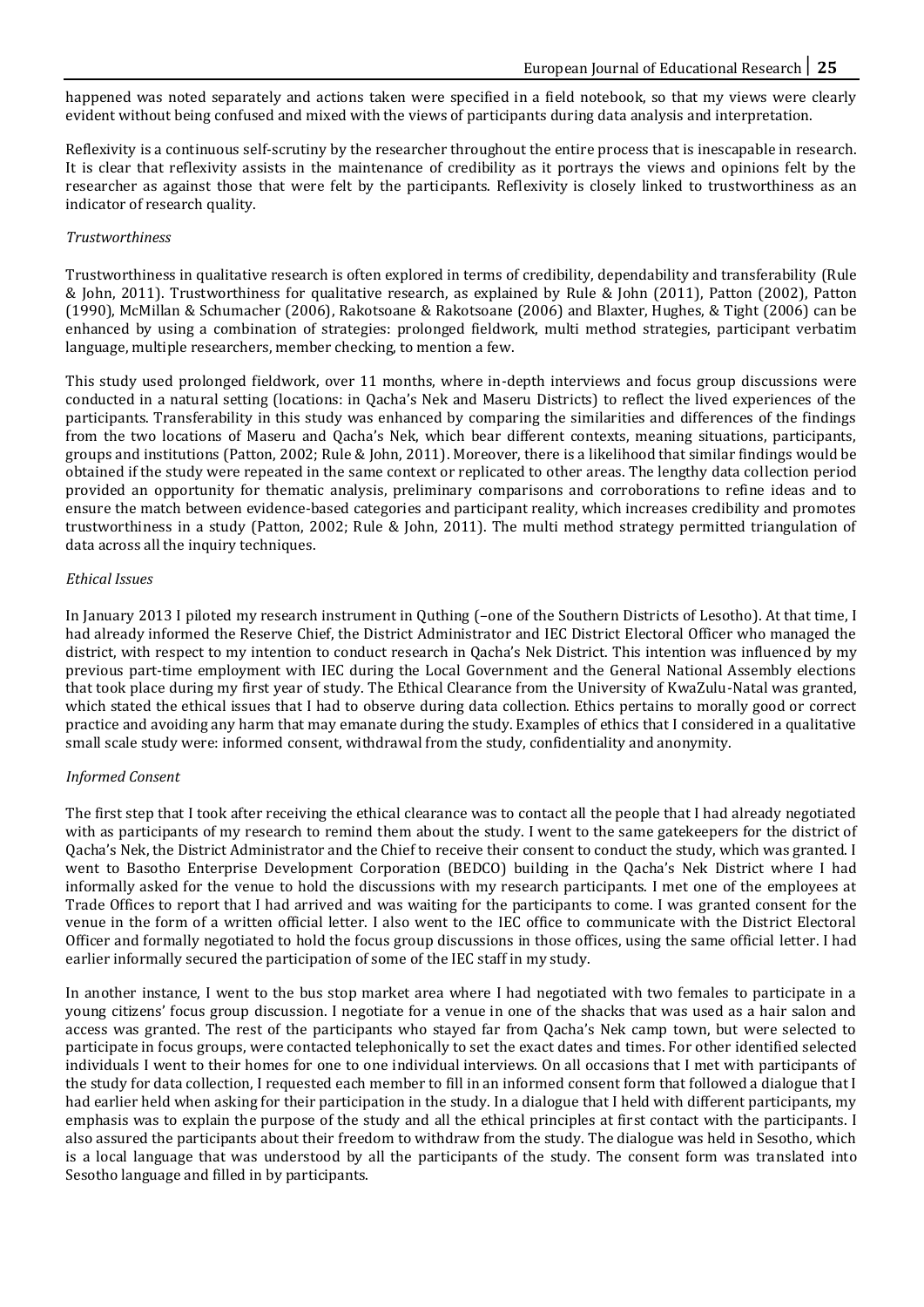happened was noted separately and actions taken were specified in a field notebook, so that my views were clearly evident without being confused and mixed with the views of participants during data analysis and interpretation.

Reflexivity is a continuous self-scrutiny by the researcher throughout the entire process that is inescapable in research. It is clear that reflexivity assists in the maintenance of credibility as it portrays the views and opinions felt by the researcher as against those that were felt by the participants. Reflexivity is closely linked to trustworthiness as an indicator of research quality.

#### *Trustworthiness*

Trustworthiness in qualitative research is often explored in terms of credibility, dependability and transferability (Rule & John, 2011). Trustworthiness for qualitative research, as explained by Rule & John (2011), Patton (2002), Patton (1990), McMillan & Schumacher (2006), Rakotsoane & Rakotsoane (2006) and Blaxter, Hughes, & Tight (2006) can be enhanced by using a combination of strategies: prolonged fieldwork, multi method strategies, participant verbatim language, multiple researchers, member checking, to mention a few.

This study used prolonged fieldwork, over 11 months, where in-depth interviews and focus group discussions were conducted in a natural setting (locations: in Qacha's Nek and Maseru Districts) to reflect the lived experiences of the participants. Transferability in this study was enhanced by comparing the similarities and differences of the findings from the two locations of Maseru and Qacha's Nek, which bear different contexts, meaning situations, participants, groups and institutions (Patton, 2002; Rule & John, 2011). Moreover, there is a likelihood that similar findings would be obtained if the study were repeated in the same context or replicated to other areas. The lengthy data collection period provided an opportunity for thematic analysis, preliminary comparisons and corroborations to refine ideas and to ensure the match between evidence-based categories and participant reality, which increases credibility and promotes trustworthiness in a study (Patton, 2002; Rule & John, 2011). The multi method strategy permitted triangulation of data across all the inquiry techniques.

## *Ethical Issues*

In January 2013 I piloted my research instrument in Quthing (–one of the Southern Districts of Lesotho). At that time, I had already informed the Reserve Chief, the District Administrator and IEC District Electoral Officer who managed the district, with respect to my intention to conduct research in Qacha's Nek District. This intention was influenced by my previous part-time employment with IEC during the Local Government and the General National Assembly elections that took place during my first year of study. The Ethical Clearance from the University of KwaZulu-Natal was granted, which stated the ethical issues that I had to observe during data collection. Ethics pertains to morally good or correct practice and avoiding any harm that may emanate during the study. Examples of ethics that I considered in a qualitative small scale study were: informed consent, withdrawal from the study, confidentiality and anonymity.

# *Informed Consent*

The first step that I took after receiving the ethical clearance was to contact all the people that I had already negotiated with as participants of my research to remind them about the study. I went to the same gatekeepers for the district of Qacha's Nek, the District Administrator and the Chief to receive their consent to conduct the study, which was granted. I went to Basotho Enterprise Development Corporation (BEDCO) building in the Qacha's Nek District where I had informally asked for the venue to hold the discussions with my research participants. I met one of the employees at Trade Offices to report that I had arrived and was waiting for the participants to come. I was granted consent for the venue in the form of a written official letter. I also went to the IEC office to communicate with the District Electoral Officer and formally negotiated to hold the focus group discussions in those offices, using the same official letter. I had earlier informally secured the participation of some of the IEC staff in my study.

In another instance, I went to the bus stop market area where I had negotiated with two females to participate in a young citizens' focus group discussion. I negotiate for a venue in one of the shacks that was used as a hair salon and access was granted. The rest of the participants who stayed far from Qacha's Nek camp town, but were selected to participate in focus groups, were contacted telephonically to set the exact dates and times. For other identified selected individuals I went to their homes for one to one individual interviews. On all occasions that I met with participants of the study for data collection, I requested each member to fill in an informed consent form that followed a dialogue that I had earlier held when asking for their participation in the study. In a dialogue that I held with different participants, my emphasis was to explain the purpose of the study and all the ethical principles at first contact with the participants. I also assured the participants about their freedom to withdraw from the study. The dialogue was held in Sesotho, which is a local language that was understood by all the participants of the study. The consent form was translated into Sesotho language and filled in by participants.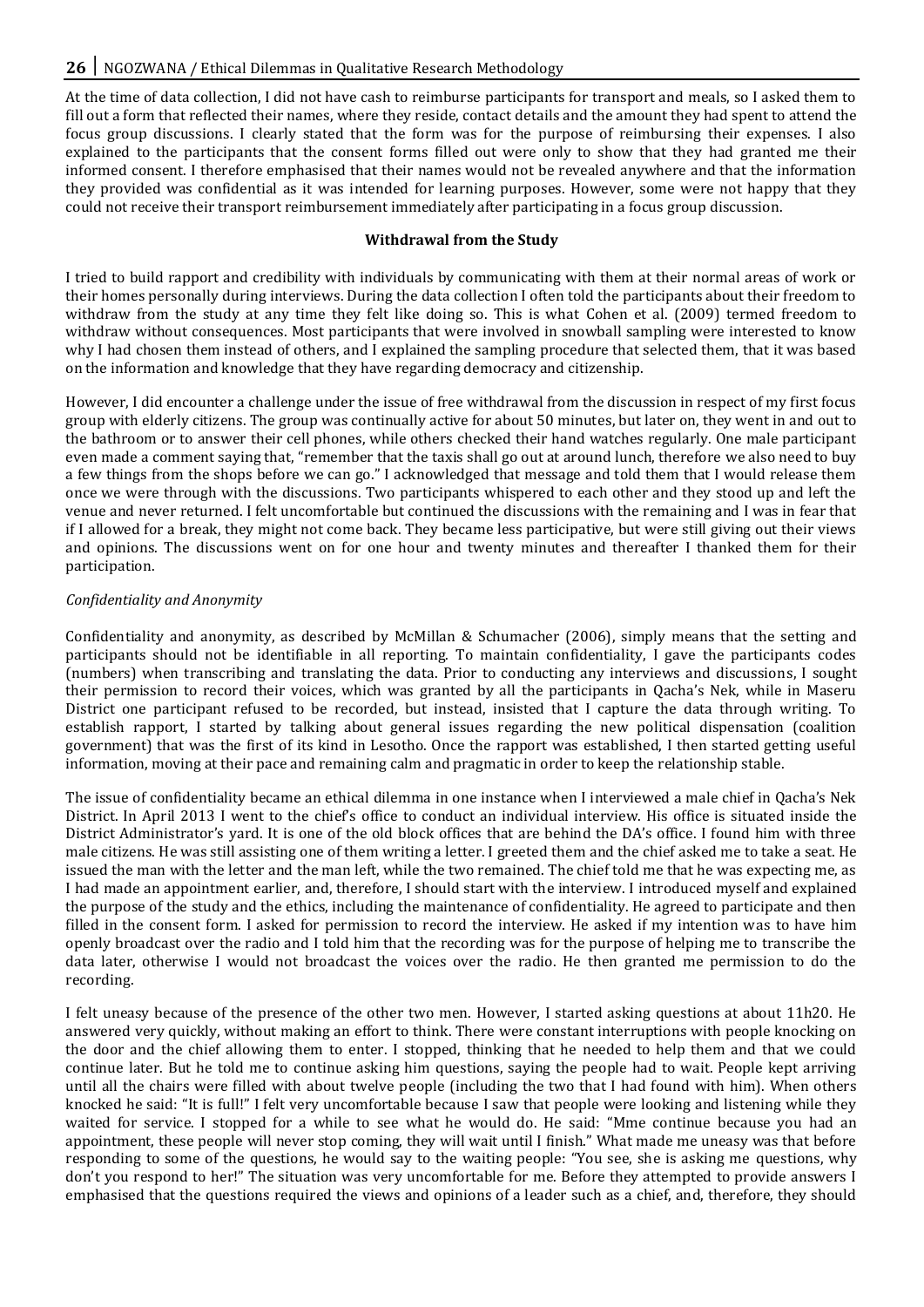At the time of data collection, I did not have cash to reimburse participants for transport and meals, so I asked them to fill out a form that reflected their names, where they reside, contact details and the amount they had spent to attend the focus group discussions. I clearly stated that the form was for the purpose of reimbursing their expenses. I also explained to the participants that the consent forms filled out were only to show that they had granted me their informed consent. I therefore emphasised that their names would not be revealed anywhere and that the information they provided was confidential as it was intended for learning purposes. However, some were not happy that they could not receive their transport reimbursement immediately after participating in a focus group discussion.

## **Withdrawal from the Study**

I tried to build rapport and credibility with individuals by communicating with them at their normal areas of work or their homes personally during interviews. During the data collection I often told the participants about their freedom to withdraw from the study at any time they felt like doing so. This is what Cohen et al. (2009) termed freedom to withdraw without consequences. Most participants that were involved in snowball sampling were interested to know why I had chosen them instead of others, and I explained the sampling procedure that selected them, that it was based on the information and knowledge that they have regarding democracy and citizenship.

However, I did encounter a challenge under the issue of free withdrawal from the discussion in respect of my first focus group with elderly citizens. The group was continually active for about 50 minutes, but later on, they went in and out to the bathroom or to answer their cell phones, while others checked their hand watches regularly. One male participant even made a comment saying that, "remember that the taxis shall go out at around lunch, therefore we also need to buy a few things from the shops before we can go." I acknowledged that message and told them that I would release them once we were through with the discussions. Two participants whispered to each other and they stood up and left the venue and never returned. I felt uncomfortable but continued the discussions with the remaining and I was in fear that if I allowed for a break, they might not come back. They became less participative, but were still giving out their views and opinions. The discussions went on for one hour and twenty minutes and thereafter I thanked them for their participation.

# *Confidentiality and Anonymity*

Confidentiality and anonymity, as described by McMillan & Schumacher (2006), simply means that the setting and participants should not be identifiable in all reporting. To maintain confidentiality, I gave the participants codes (numbers) when transcribing and translating the data. Prior to conducting any interviews and discussions, I sought their permission to record their voices, which was granted by all the participants in Qacha's Nek, while in Maseru District one participant refused to be recorded, but instead, insisted that I capture the data through writing. To establish rapport, I started by talking about general issues regarding the new political dispensation (coalition government) that was the first of its kind in Lesotho. Once the rapport was established, I then started getting useful information, moving at their pace and remaining calm and pragmatic in order to keep the relationship stable.

The issue of confidentiality became an ethical dilemma in one instance when I interviewed a male chief in Qacha's Nek District. In April 2013 I went to the chief's office to conduct an individual interview. His office is situated inside the District Administrator's yard. It is one of the old block offices that are behind the DA's office. I found him with three male citizens. He was still assisting one of them writing a letter. I greeted them and the chief asked me to take a seat. He issued the man with the letter and the man left, while the two remained. The chief told me that he was expecting me, as I had made an appointment earlier, and, therefore, I should start with the interview. I introduced myself and explained the purpose of the study and the ethics, including the maintenance of confidentiality. He agreed to participate and then filled in the consent form. I asked for permission to record the interview. He asked if my intention was to have him openly broadcast over the radio and I told him that the recording was for the purpose of helping me to transcribe the data later, otherwise I would not broadcast the voices over the radio. He then granted me permission to do the recording.

I felt uneasy because of the presence of the other two men. However, I started asking questions at about 11h20. He answered very quickly, without making an effort to think. There were constant interruptions with people knocking on the door and the chief allowing them to enter. I stopped, thinking that he needed to help them and that we could continue later. But he told me to continue asking him questions, saying the people had to wait. People kept arriving until all the chairs were filled with about twelve people (including the two that I had found with him). When others knocked he said: "It is full!" I felt very uncomfortable because I saw that people were looking and listening while they waited for service. I stopped for a while to see what he would do. He said: "Mme continue because you had an appointment, these people will never stop coming, they will wait until I finish." What made me uneasy was that before responding to some of the questions, he would say to the waiting people: "You see, she is asking me questions, why don't you respond to her!" The situation was very uncomfortable for me. Before they attempted to provide answers I emphasised that the questions required the views and opinions of a leader such as a chief, and, therefore, they should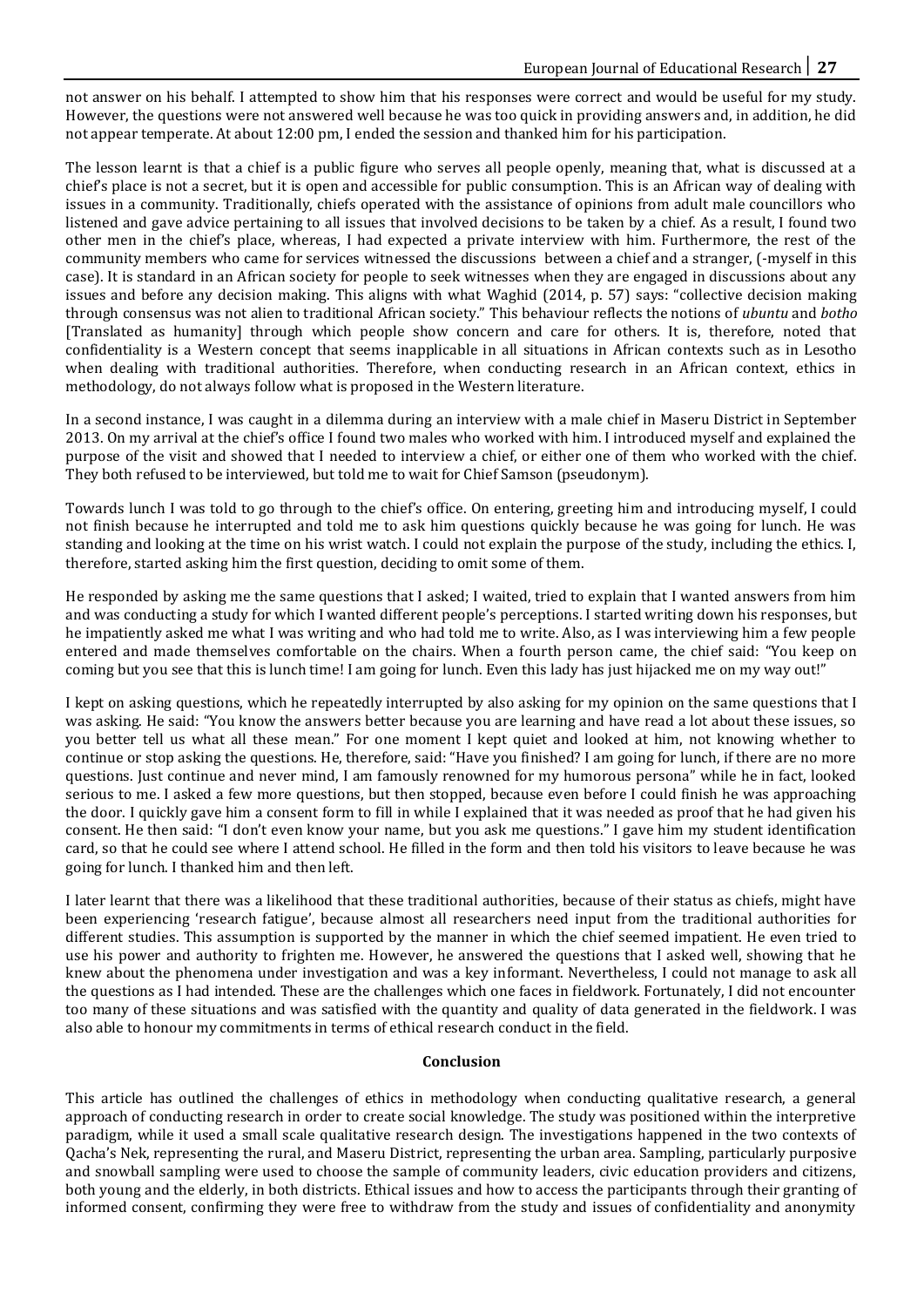not answer on his behalf. I attempted to show him that his responses were correct and would be useful for my study. However, the questions were not answered well because he was too quick in providing answers and, in addition, he did not appear temperate. At about 12:00 pm, I ended the session and thanked him for his participation.

The lesson learnt is that a chief is a public figure who serves all people openly, meaning that, what is discussed at a chief's place is not a secret, but it is open and accessible for public consumption. This is an African way of dealing with issues in a community. Traditionally, chiefs operated with the assistance of opinions from adult male councillors who listened and gave advice pertaining to all issues that involved decisions to be taken by a chief. As a result, I found two other men in the chief's place, whereas, I had expected a private interview with him. Furthermore, the rest of the community members who came for services witnessed the discussions between a chief and a stranger, (-myself in this case). It is standard in an African society for people to seek witnesses when they are engaged in discussions about any issues and before any decision making. This aligns with what Waghid (2014, p. 57) says: "collective decision making through consensus was not alien to traditional African society." This behaviour reflects the notions of *ubuntu* and *botho* [Translated as humanity] through which people show concern and care for others. It is, therefore, noted that confidentiality is a Western concept that seems inapplicable in all situations in African contexts such as in Lesotho when dealing with traditional authorities. Therefore, when conducting research in an African context, ethics in methodology, do not always follow what is proposed in the Western literature.

In a second instance, I was caught in a dilemma during an interview with a male chief in Maseru District in September 2013. On my arrival at the chief's office I found two males who worked with him. I introduced myself and explained the purpose of the visit and showed that I needed to interview a chief, or either one of them who worked with the chief. They both refused to be interviewed, but told me to wait for Chief Samson (pseudonym).

Towards lunch I was told to go through to the chief's office. On entering, greeting him and introducing myself, I could not finish because he interrupted and told me to ask him questions quickly because he was going for lunch. He was standing and looking at the time on his wrist watch. I could not explain the purpose of the study, including the ethics. I, therefore, started asking him the first question, deciding to omit some of them.

He responded by asking me the same questions that I asked; I waited, tried to explain that I wanted answers from him and was conducting a study for which I wanted different people's perceptions. I started writing down his responses, but he impatiently asked me what I was writing and who had told me to write. Also, as I was interviewing him a few people entered and made themselves comfortable on the chairs. When a fourth person came, the chief said: "You keep on coming but you see that this is lunch time! I am going for lunch. Even this lady has just hijacked me on my way out!"

I kept on asking questions, which he repeatedly interrupted by also asking for my opinion on the same questions that I was asking. He said: "You know the answers better because you are learning and have read a lot about these issues, so you better tell us what all these mean." For one moment I kept quiet and looked at him, not knowing whether to continue or stop asking the questions. He, therefore, said: "Have you finished? I am going for lunch, if there are no more questions. Just continue and never mind, I am famously renowned for my humorous persona" while he in fact, looked serious to me. I asked a few more questions, but then stopped, because even before I could finish he was approaching the door. I quickly gave him a consent form to fill in while I explained that it was needed as proof that he had given his consent. He then said: "I don't even know your name, but you ask me questions." I gave him my student identification card, so that he could see where I attend school. He filled in the form and then told his visitors to leave because he was going for lunch. I thanked him and then left.

I later learnt that there was a likelihood that these traditional authorities, because of their status as chiefs, might have been experiencing 'research fatigue', because almost all researchers need input from the traditional authorities for different studies. This assumption is supported by the manner in which the chief seemed impatient. He even tried to use his power and authority to frighten me. However, he answered the questions that I asked well, showing that he knew about the phenomena under investigation and was a key informant. Nevertheless, I could not manage to ask all the questions as I had intended. These are the challenges which one faces in fieldwork. Fortunately, I did not encounter too many of these situations and was satisfied with the quantity and quality of data generated in the fieldwork. I was also able to honour my commitments in terms of ethical research conduct in the field.

#### **Conclusion**

This article has outlined the challenges of ethics in methodology when conducting qualitative research, a general approach of conducting research in order to create social knowledge. The study was positioned within the interpretive paradigm, while it used a small scale qualitative research design. The investigations happened in the two contexts of Qacha's Nek, representing the rural, and Maseru District, representing the urban area. Sampling, particularly purposive and snowball sampling were used to choose the sample of community leaders, civic education providers and citizens, both young and the elderly, in both districts. Ethical issues and how to access the participants through their granting of informed consent, confirming they were free to withdraw from the study and issues of confidentiality and anonymity